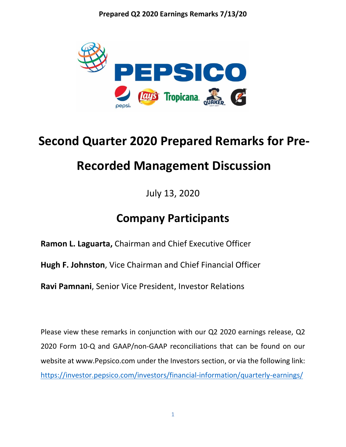

# **Second Quarter 2020 Prepared Remarks for Pre-**

## **Recorded Management Discussion**

July 13, 2020

## **Company Participants**

**[Ramon L. Laguarta,](https://blinks.bloomberg.com/screens/BIO%2018967774)** Chairman and Chief Executive Officer

**[Hugh F. Johnston](https://blinks.bloomberg.com/screens/BIO%2015089105)**, Vice Chairman and Chief Financial Officer

**[Ravi Pamnani](https://blinks.bloomberg.com/screens/BIO%206230658)**, Senior Vice President, Investor Relations

Please view these remarks in conjunction with our Q2 2020 earnings release, Q2 2020 Form 10-Q and GAAP/non-GAAP reconciliations that can be found on our website at [www.Pepsico.com](http://www.pepsico.com/) under the Investors section, or via the following link: <https://investor.pepsico.com/investors/financial-information/quarterly-earnings/>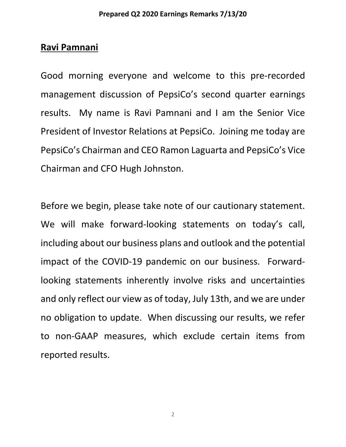## **Ravi Pamnani**

Good morning everyone and welcome to this pre‐recorded management discussion of PepsiCo's second quarter earnings results. My name is Ravi Pamnani and I am the Senior Vice President of Investor Relations at PepsiCo. Joining me today are PepsiCo's Chairman and CEO Ramon Laguarta and PepsiCo's Vice Chairman and CFO Hugh Johnston.

Before we begin, please take note of our cautionary statement. We will make forward-looking statements on today's call, including about our business plans and outlook and the potential impact of the COVID‐19 pandemic on our business. Forward‐ looking statements inherently involve risks and uncertainties and only reflect our view as of today, July 13th, and we are under no obligation to update. When discussing our results, we refer to non‐GAAP measures, which exclude certain items from reported results.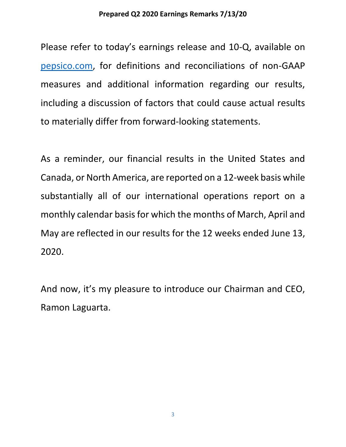Please refer to today's earnings release and 10-Q, available on [pepsico.com,](http://pepsico.com/) for definitions and reconciliations of non-GAAP measures and additional information regarding our results, including a discussion of factors that could cause actual results to materially differ from forward-looking statements.

As a reminder, our financial results in the United States and Canada, or North America, are reported on a 12‐week basis while substantially all of our international operations report on a monthly calendar basis for which the months of March, April and May are reflected in our results for the 12 weeks ended June 13, 2020.

And now, it's my pleasure to introduce our Chairman and CEO, Ramon Laguarta.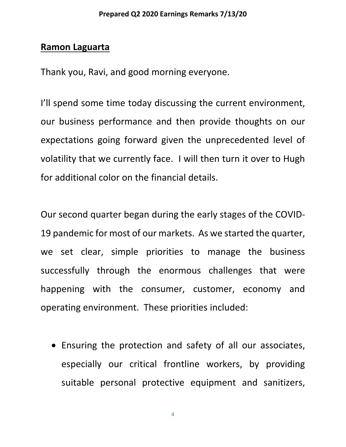## **Ramon Laguarta**

Thank you, Ravi, and good morning everyone.

I'll spend some time today discussing the current environment, our business performance and then provide thoughts on our expectations going forward given the unprecedented level of volatility that we currently face. I will then turn it over to Hugh for additional color on the financial details.

Our second quarter began during the early stages of the COVID-19 pandemic for most of our markets. As we started the quarter, we set clear, simple priorities to manage the business successfully through the enormous challenges that were happening with the consumer, customer, economy and operating environment. These priorities included:

• Ensuring the protection and safety of all our associates, especially our critical frontline workers, by providing suitable personal protective equipment and sanitizers,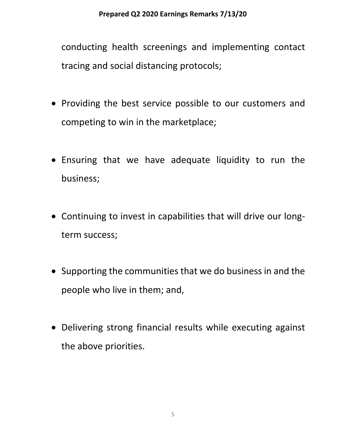conducting health screenings and implementing contact tracing and social distancing protocols;

- Providing the best service possible to our customers and competing to win in the marketplace;
- Ensuring that we have adequate liquidity to run the business;
- Continuing to invest in capabilities that will drive our longterm success;
- Supporting the communities that we do business in and the people who live in them; and,
- Delivering strong financial results while executing against the above priorities.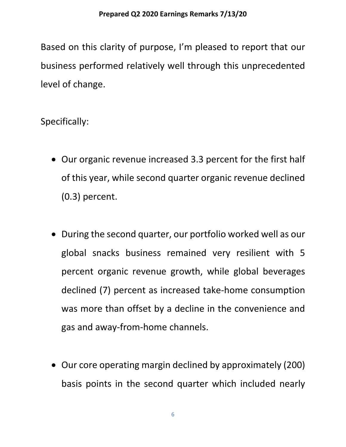Based on this clarity of purpose, I'm pleased to report that our business performed relatively well through this unprecedented level of change.

Specifically:

- Our organic revenue increased 3.3 percent for the first half of this year, while second quarter organic revenue declined (0.3) percent.
- During the second quarter, our portfolio worked well as our global snacks business remained very resilient with 5 percent organic revenue growth, while global beverages declined (7) percent as increased take-home consumption was more than offset by a decline in the convenience and gas and away-from-home channels.
- Our core operating margin declined by approximately (200) basis points in the second quarter which included nearly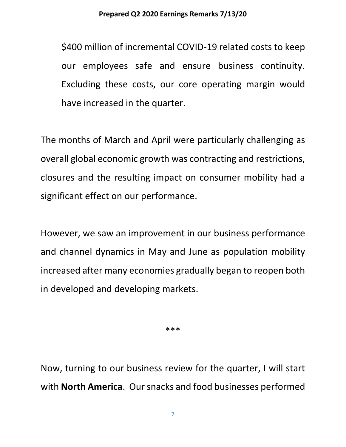\$400 million of incremental COVID-19 related costs to keep our employees safe and ensure business continuity. Excluding these costs, our core operating margin would have increased in the quarter.

The months of March and April were particularly challenging as overall global economic growth was contracting and restrictions, closures and the resulting impact on consumer mobility had a significant effect on our performance.

However, we saw an improvement in our business performance and channel dynamics in May and June as population mobility increased after many economies gradually began to reopen both in developed and developing markets.

\*\*\*

Now, turning to our business review for the quarter, I will start with **North America**. Our snacks and food businesses performed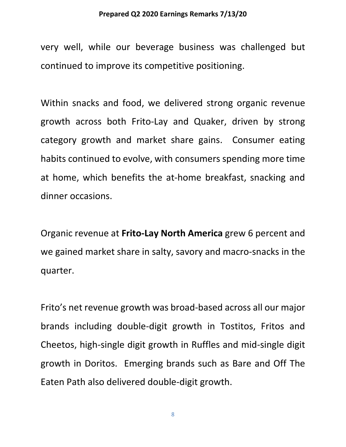#### **Prepared Q2 2020 Earnings Remarks 7/13/20**

very well, while our beverage business was challenged but continued to improve its competitive positioning.

Within snacks and food, we delivered strong organic revenue growth across both Frito-Lay and Quaker, driven by strong category growth and market share gains. Consumer eating habits continued to evolve, with consumers spending more time at home, which benefits the at-home breakfast, snacking and dinner occasions.

Organic revenue at **Frito-Lay North America** grew 6 percent and we gained market share in salty, savory and macro-snacks in the quarter.

Frito's net revenue growth was broad-based across all our major brands including double-digit growth in Tostitos, Fritos and Cheetos, high-single digit growth in Ruffles and mid-single digit growth in Doritos. Emerging brands such as Bare and Off The Eaten Path also delivered double-digit growth.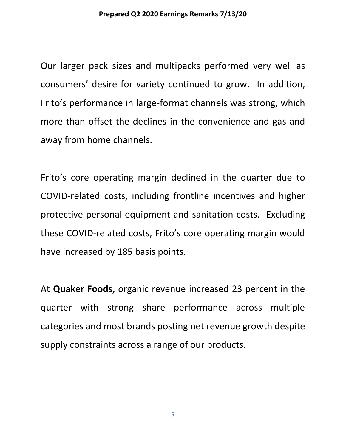Our larger pack sizes and multipacks performed very well as consumers' desire for variety continued to grow. In addition, Frito's performance in large-format channels was strong, which more than offset the declines in the convenience and gas and away from home channels.

Frito's core operating margin declined in the quarter due to COVID-related costs, including frontline incentives and higher protective personal equipment and sanitation costs. Excluding these COVID-related costs, Frito's core operating margin would have increased by 185 basis points.

At **Quaker Foods,** organic revenue increased 23 percent in the quarter with strong share performance across multiple categories and most brands posting net revenue growth despite supply constraints across a range of our products.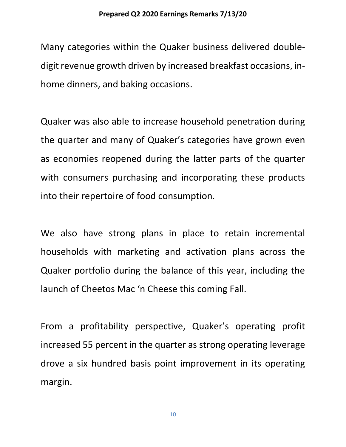Many categories within the Quaker business delivered doubledigit revenue growth driven by increased breakfast occasions, inhome dinners, and baking occasions.

Quaker was also able to increase household penetration during the quarter and many of Quaker's categories have grown even as economies reopened during the latter parts of the quarter with consumers purchasing and incorporating these products into their repertoire of food consumption.

We also have strong plans in place to retain incremental households with marketing and activation plans across the Quaker portfolio during the balance of this year, including the launch of Cheetos Mac 'n Cheese this coming Fall.

From a profitability perspective, Quaker's operating profit increased 55 percent in the quarter as strong operating leverage drove a six hundred basis point improvement in its operating margin.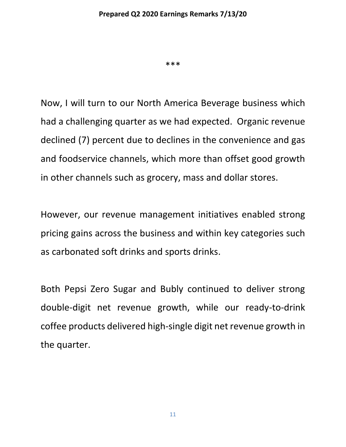\*\*\*

Now, I will turn to our North America Beverage business which had a challenging quarter as we had expected. Organic revenue declined (7) percent due to declines in the convenience and gas and foodservice channels, which more than offset good growth in other channels such as grocery, mass and dollar stores.

However, our revenue management initiatives enabled strong pricing gains across the business and within key categories such as carbonated soft drinks and sports drinks.

Both Pepsi Zero Sugar and Bubly continued to deliver strong double-digit net revenue growth, while our ready-to-drink coffee products delivered high-single digit net revenue growth in the quarter.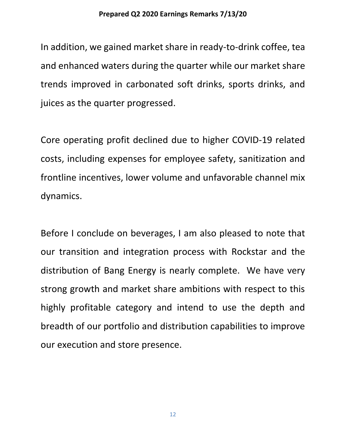In addition, we gained market share in ready-to-drink coffee, tea and enhanced waters during the quarter while our market share trends improved in carbonated soft drinks, sports drinks, and juices as the quarter progressed.

Core operating profit declined due to higher COVID-19 related costs, including expenses for employee safety, sanitization and frontline incentives, lower volume and unfavorable channel mix dynamics.

Before I conclude on beverages, I am also pleased to note that our transition and integration process with Rockstar and the distribution of Bang Energy is nearly complete. We have very strong growth and market share ambitions with respect to this highly profitable category and intend to use the depth and breadth of our portfolio and distribution capabilities to improve our execution and store presence.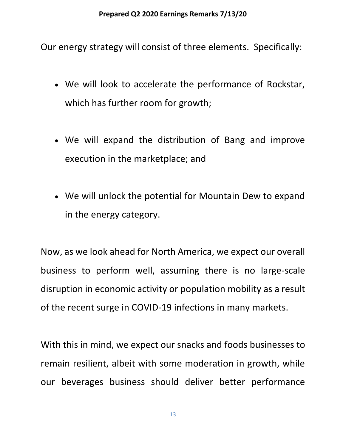Our energy strategy will consist of three elements. Specifically:

- We will look to accelerate the performance of Rockstar, which has further room for growth;
- We will expand the distribution of Bang and improve execution in the marketplace; and
- We will unlock the potential for Mountain Dew to expand in the energy category.

Now, as we look ahead for North America, we expect our overall business to perform well, assuming there is no large-scale disruption in economic activity or population mobility as a result of the recent surge in COVID-19 infections in many markets.

With this in mind, we expect our snacks and foods businesses to remain resilient, albeit with some moderation in growth, while our beverages business should deliver better performance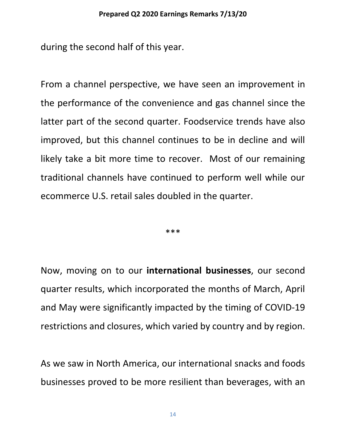during the second half of this year.

From a channel perspective, we have seen an improvement in the performance of the convenience and gas channel since the latter part of the second quarter. Foodservice trends have also improved, but this channel continues to be in decline and will likely take a bit more time to recover. Most of our remaining traditional channels have continued to perform well while our ecommerce U.S. retail sales doubled in the quarter.

\*\*\*

Now, moving on to our **international businesses**, our second quarter results, which incorporated the months of March, April and May were significantly impacted by the timing of COVID-19 restrictions and closures, which varied by country and by region.

As we saw in North America, our international snacks and foods businesses proved to be more resilient than beverages, with an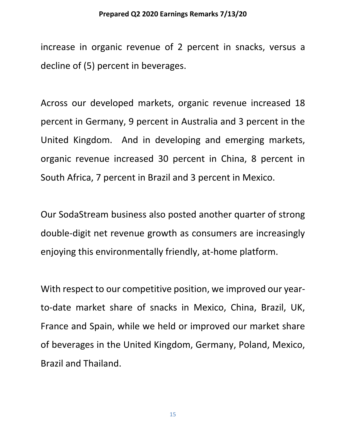#### **Prepared Q2 2020 Earnings Remarks 7/13/20**

increase in organic revenue of 2 percent in snacks, versus a decline of (5) percent in beverages.

Across our developed markets, organic revenue increased 18 percent in Germany, 9 percent in Australia and 3 percent in the United Kingdom. And in developing and emerging markets, organic revenue increased 30 percent in China, 8 percent in South Africa, 7 percent in Brazil and 3 percent in Mexico.

Our SodaStream business also posted another quarter of strong double-digit net revenue growth as consumers are increasingly enjoying this environmentally friendly, at‐home platform.

With respect to our competitive position, we improved our yearto-date market share of snacks in Mexico, China, Brazil, UK, France and Spain, while we held or improved our market share of beverages in the United Kingdom, Germany, Poland, Mexico, Brazil and Thailand.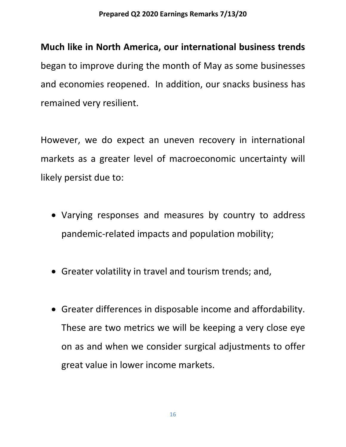## **Much like in North America, our international business trends**

began to improve during the month of May as some businesses and economies reopened. In addition, our snacks business has remained very resilient.

However, we do expect an uneven recovery in international markets as a greater level of macroeconomic uncertainty will likely persist due to:

- Varying responses and measures by country to address pandemic-related impacts and population mobility;
- Greater volatility in travel and tourism trends; and,
- Greater differences in disposable income and affordability. These are two metrics we will be keeping a very close eye on as and when we consider surgical adjustments to offer great value in lower income markets.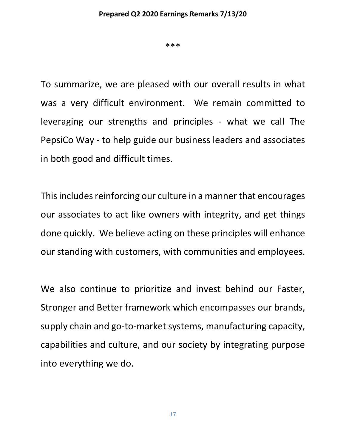\*\*\*

To summarize, we are pleased with our overall results in what was a very difficult environment. We remain committed to leveraging our strengths and principles - what we call The PepsiCo Way - to help guide our business leaders and associates in both good and difficult times.

This includes reinforcing our culture in a manner that encourages our associates to act like owners with integrity, and get things done quickly. We believe acting on these principles will enhance our standing with customers, with communities and employees.

We also continue to prioritize and invest behind our Faster, Stronger and Better framework which encompasses our brands, supply chain and go-to-market systems, manufacturing capacity, capabilities and culture, and our society by integrating purpose into everything we do.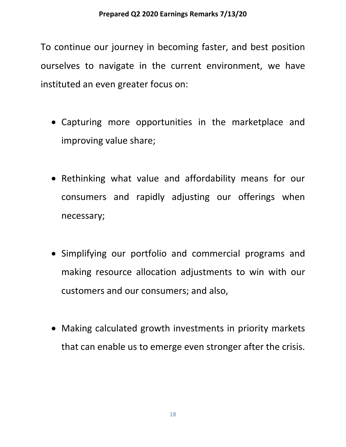To continue our journey in becoming faster, and best position ourselves to navigate in the current environment, we have instituted an even greater focus on:

- Capturing more opportunities in the marketplace and improving value share;
- Rethinking what value and affordability means for our consumers and rapidly adjusting our offerings when necessary;
- Simplifying our portfolio and commercial programs and making resource allocation adjustments to win with our customers and our consumers; and also,
- Making calculated growth investments in priority markets that can enable us to emerge even stronger after the crisis.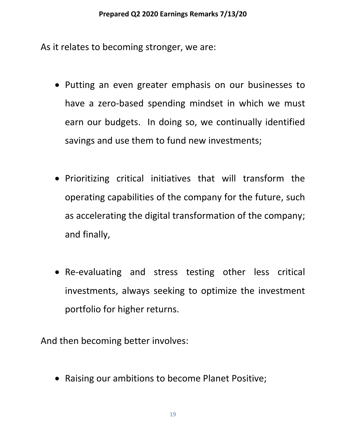As it relates to becoming stronger, we are:

- Putting an even greater emphasis on our businesses to have a zero-based spending mindset in which we must earn our budgets. In doing so, we continually identified savings and use them to fund new investments;
- Prioritizing critical initiatives that will transform the operating capabilities of the company for the future, such as accelerating the digital transformation of the company; and finally,
- Re-evaluating and stress testing other less critical investments, always seeking to optimize the investment portfolio for higher returns.

And then becoming better involves:

• Raising our ambitions to become Planet Positive;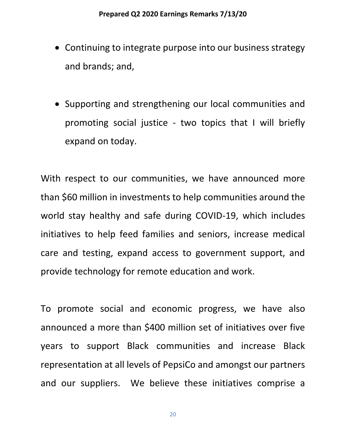- Continuing to integrate purpose into our business strategy and brands; and,
- Supporting and strengthening our local communities and promoting social justice - two topics that I will briefly expand on today.

With respect to our communities, we have announced more than \$60 million in investments to help communities around the world stay healthy and safe during COVID-19, which includes initiatives to help feed families and seniors, increase medical care and testing, expand access to government support, and provide technology for remote education and work.

To promote social and economic progress, we have also announced a more than \$400 million set of initiatives over five years to support Black communities and increase Black representation at all levels of PepsiCo and amongst our partners and our suppliers. We believe these initiatives comprise a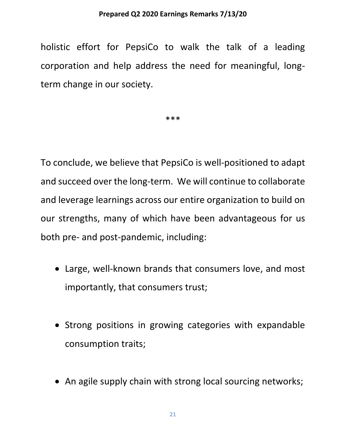#### **Prepared Q2 2020 Earnings Remarks 7/13/20**

holistic effort for PepsiCo to walk the talk of a leading corporation and help address the need for meaningful, longterm change in our society.

\*\*\*

To conclude, we believe that PepsiCo is well‐positioned to adapt and succeed over the long‐term. We will continue to collaborate and leverage learnings across our entire organization to build on our strengths, many of which have been advantageous for us both pre- and post-pandemic, including:

- Large, well‐known brands that consumers love, and most importantly, that consumers trust;
- Strong positions in growing categories with expandable consumption traits;
- An agile supply chain with strong local sourcing networks;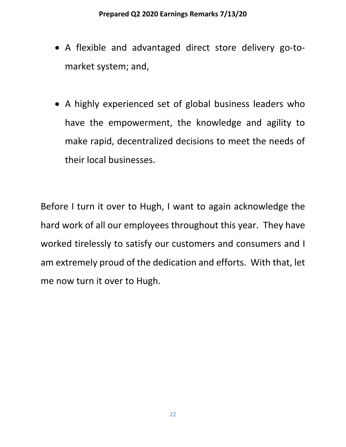- A flexible and advantaged direct store delivery go‐to‐ market system; and,
- A highly experienced set of global business leaders who have the empowerment, the knowledge and agility to make rapid, decentralized decisions to meet the needs of their local businesses.

Before I turn it over to Hugh, I want to again acknowledge the hard work of all our employees throughout this year. They have worked tirelessly to satisfy our customers and consumers and I am extremely proud of the dedication and efforts. With that, let me now turn it over to Hugh.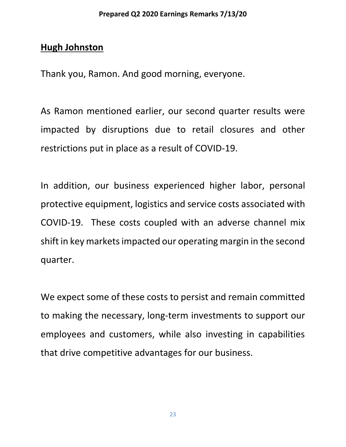## **Hugh Johnston**

Thank you, Ramon. And good morning, everyone.

As Ramon mentioned earlier, our second quarter results were impacted by disruptions due to retail closures and other restrictions put in place as a result of COVID‐19.

In addition, our business experienced higher labor, personal protective equipment, logistics and service costs associated with COVID-19. These costs coupled with an adverse channel mix shift in key markets impacted our operating margin in the second quarter.

We expect some of these costs to persist and remain committed to making the necessary, long‐term investments to support our employees and customers, while also investing in capabilities that drive competitive advantages for our business.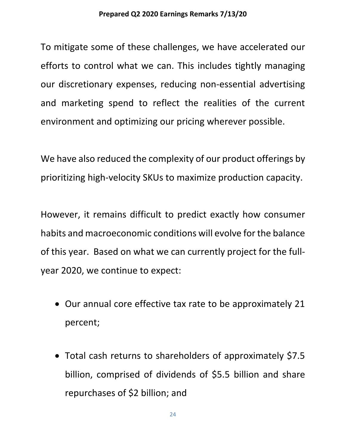To mitigate some of these challenges, we have accelerated our efforts to control what we can. This includes tightly managing our discretionary expenses, reducing non‐essential advertising and marketing spend to reflect the realities of the current environment and optimizing our pricing wherever possible.

We have also reduced the complexity of our product offerings by prioritizing high‐velocity SKUs to maximize production capacity.

However, it remains difficult to predict exactly how consumer habits and macroeconomic conditions will evolve for the balance of this year. Based on what we can currently project for the full‐ year 2020, we continue to expect:

- Our annual core effective tax rate to be approximately 21 percent;
- Total cash returns to shareholders of approximately \$7.5 billion, comprised of dividends of \$5.5 billion and share repurchases of \$2 billion; and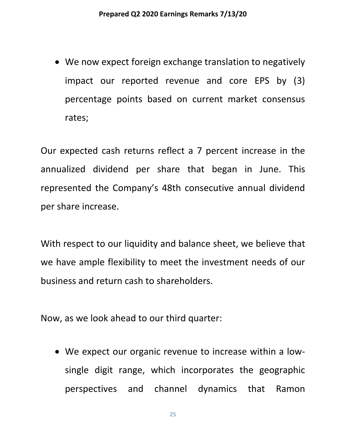• We now expect foreign exchange translation to negatively impact our reported revenue and core EPS by (3) percentage points based on current market consensus rates;

Our expected cash returns reflect a 7 percent increase in the annualized dividend per share that began in June. This represented the Company's 48th consecutive annual dividend per share increase.

With respect to our liquidity and balance sheet, we believe that we have ample flexibility to meet the investment needs of our business and return cash to shareholders.

Now, as we look ahead to our third quarter:

• We expect our organic revenue to increase within a lowsingle digit range, which incorporates the geographic perspectives and channel dynamics that Ramon